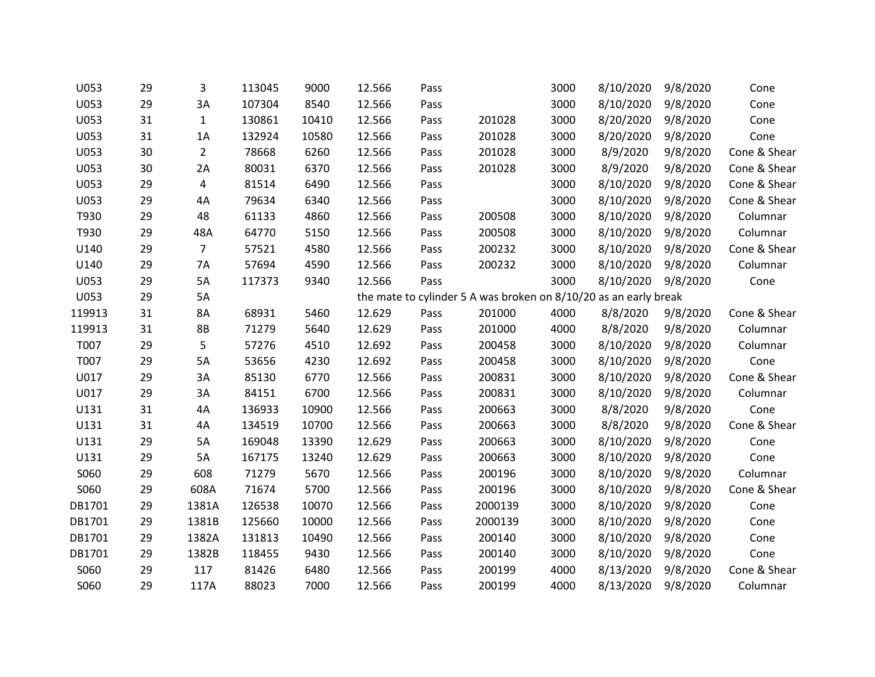| U053   | 29 | 3              | 113045 | 9000  | 12.566 | Pass |                                                                  | 3000 | 8/10/2020 | 9/8/2020 | Cone         |
|--------|----|----------------|--------|-------|--------|------|------------------------------------------------------------------|------|-----------|----------|--------------|
| U053   | 29 | 3A             | 107304 | 8540  | 12.566 | Pass |                                                                  | 3000 | 8/10/2020 | 9/8/2020 | Cone         |
| U053   | 31 | $\mathbf{1}$   | 130861 | 10410 | 12.566 | Pass | 201028                                                           | 3000 | 8/20/2020 | 9/8/2020 | Cone         |
| U053   | 31 | 1A             | 132924 | 10580 | 12.566 | Pass | 201028                                                           | 3000 | 8/20/2020 | 9/8/2020 | Cone         |
| U053   | 30 | $\overline{2}$ | 78668  | 6260  | 12.566 | Pass | 201028                                                           | 3000 | 8/9/2020  | 9/8/2020 | Cone & Shear |
| U053   | 30 | 2A             | 80031  | 6370  | 12.566 | Pass | 201028                                                           | 3000 | 8/9/2020  | 9/8/2020 | Cone & Shear |
| U053   | 29 | 4              | 81514  | 6490  | 12.566 | Pass |                                                                  | 3000 | 8/10/2020 | 9/8/2020 | Cone & Shear |
| U053   | 29 | 4A             | 79634  | 6340  | 12.566 | Pass |                                                                  | 3000 | 8/10/2020 | 9/8/2020 | Cone & Shear |
| T930   | 29 | 48             | 61133  | 4860  | 12.566 | Pass | 200508                                                           | 3000 | 8/10/2020 | 9/8/2020 | Columnar     |
| T930   | 29 | 48A            | 64770  | 5150  | 12.566 | Pass | 200508                                                           | 3000 | 8/10/2020 | 9/8/2020 | Columnar     |
| U140   | 29 | $\overline{7}$ | 57521  | 4580  | 12.566 | Pass | 200232                                                           | 3000 | 8/10/2020 | 9/8/2020 | Cone & Shear |
| U140   | 29 | 7A             | 57694  | 4590  | 12.566 | Pass | 200232                                                           | 3000 | 8/10/2020 | 9/8/2020 | Columnar     |
| U053   | 29 | 5A             | 117373 | 9340  | 12.566 | Pass |                                                                  | 3000 | 8/10/2020 | 9/8/2020 | Cone         |
| U053   | 29 | 5A             |        |       |        |      | the mate to cylinder 5 A was broken on 8/10/20 as an early break |      |           |          |              |
| 119913 | 31 | 8A             | 68931  | 5460  | 12.629 | Pass | 201000                                                           | 4000 | 8/8/2020  | 9/8/2020 | Cone & Shear |
| 119913 | 31 | 8B             | 71279  | 5640  | 12.629 | Pass | 201000                                                           | 4000 | 8/8/2020  | 9/8/2020 | Columnar     |
| T007   | 29 | 5              | 57276  | 4510  | 12.692 | Pass | 200458                                                           | 3000 | 8/10/2020 | 9/8/2020 | Columnar     |
| T007   | 29 | 5A             | 53656  | 4230  | 12.692 | Pass | 200458                                                           | 3000 | 8/10/2020 | 9/8/2020 | Cone         |
| U017   | 29 | 3A             | 85130  | 6770  | 12.566 | Pass | 200831                                                           | 3000 | 8/10/2020 | 9/8/2020 | Cone & Shear |
| U017   | 29 | 3A             | 84151  | 6700  | 12.566 | Pass | 200831                                                           | 3000 | 8/10/2020 | 9/8/2020 | Columnar     |
| U131   | 31 | 4A             | 136933 | 10900 | 12.566 | Pass | 200663                                                           | 3000 | 8/8/2020  | 9/8/2020 | Cone         |
| U131   | 31 | 4A             | 134519 | 10700 | 12.566 | Pass | 200663                                                           | 3000 | 8/8/2020  | 9/8/2020 | Cone & Shear |
| U131   | 29 | 5A             | 169048 | 13390 | 12.629 | Pass | 200663                                                           | 3000 | 8/10/2020 | 9/8/2020 | Cone         |
| U131   | 29 | 5A             | 167175 | 13240 | 12.629 | Pass | 200663                                                           | 3000 | 8/10/2020 | 9/8/2020 | Cone         |
| S060   | 29 | 608            | 71279  | 5670  | 12.566 | Pass | 200196                                                           | 3000 | 8/10/2020 | 9/8/2020 | Columnar     |
| S060   | 29 | 608A           | 71674  | 5700  | 12.566 | Pass | 200196                                                           | 3000 | 8/10/2020 | 9/8/2020 | Cone & Shear |
| DB1701 | 29 | 1381A          | 126538 | 10070 | 12.566 | Pass | 2000139                                                          | 3000 | 8/10/2020 | 9/8/2020 | Cone         |
| DB1701 | 29 | 1381B          | 125660 | 10000 | 12.566 | Pass | 2000139                                                          | 3000 | 8/10/2020 | 9/8/2020 | Cone         |
| DB1701 | 29 | 1382A          | 131813 | 10490 | 12.566 | Pass | 200140                                                           | 3000 | 8/10/2020 | 9/8/2020 | Cone         |
| DB1701 | 29 | 1382B          | 118455 | 9430  | 12.566 | Pass | 200140                                                           | 3000 | 8/10/2020 | 9/8/2020 | Cone         |
| S060   | 29 | 117            | 81426  | 6480  | 12.566 | Pass | 200199                                                           | 4000 | 8/13/2020 | 9/8/2020 | Cone & Shear |
| S060   | 29 | 117A           | 88023  | 7000  | 12.566 | Pass | 200199                                                           | 4000 | 8/13/2020 | 9/8/2020 | Columnar     |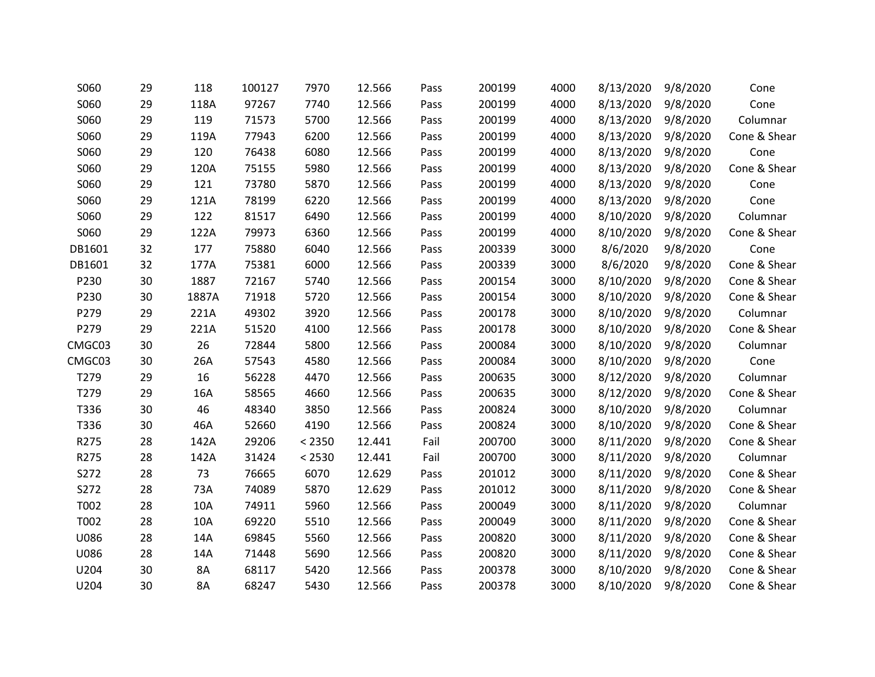| S060   | 29 | 118   | 100127 | 7970   | 12.566 | Pass | 200199 | 4000 | 8/13/2020 | 9/8/2020 | Cone         |
|--------|----|-------|--------|--------|--------|------|--------|------|-----------|----------|--------------|
| S060   | 29 | 118A  | 97267  | 7740   | 12.566 | Pass | 200199 | 4000 | 8/13/2020 | 9/8/2020 | Cone         |
| S060   | 29 | 119   | 71573  | 5700   | 12.566 | Pass | 200199 | 4000 | 8/13/2020 | 9/8/2020 | Columnar     |
| S060   | 29 | 119A  | 77943  | 6200   | 12.566 | Pass | 200199 | 4000 | 8/13/2020 | 9/8/2020 | Cone & Shear |
| S060   | 29 | 120   | 76438  | 6080   | 12.566 | Pass | 200199 | 4000 | 8/13/2020 | 9/8/2020 | Cone         |
| S060   | 29 | 120A  | 75155  | 5980   | 12.566 | Pass | 200199 | 4000 | 8/13/2020 | 9/8/2020 | Cone & Shear |
| S060   | 29 | 121   | 73780  | 5870   | 12.566 | Pass | 200199 | 4000 | 8/13/2020 | 9/8/2020 | Cone         |
| S060   | 29 | 121A  | 78199  | 6220   | 12.566 | Pass | 200199 | 4000 | 8/13/2020 | 9/8/2020 | Cone         |
| S060   | 29 | 122   | 81517  | 6490   | 12.566 | Pass | 200199 | 4000 | 8/10/2020 | 9/8/2020 | Columnar     |
| S060   | 29 | 122A  | 79973  | 6360   | 12.566 | Pass | 200199 | 4000 | 8/10/2020 | 9/8/2020 | Cone & Shear |
| DB1601 | 32 | 177   | 75880  | 6040   | 12.566 | Pass | 200339 | 3000 | 8/6/2020  | 9/8/2020 | Cone         |
| DB1601 | 32 | 177A  | 75381  | 6000   | 12.566 | Pass | 200339 | 3000 | 8/6/2020  | 9/8/2020 | Cone & Shear |
| P230   | 30 | 1887  | 72167  | 5740   | 12.566 | Pass | 200154 | 3000 | 8/10/2020 | 9/8/2020 | Cone & Shear |
| P230   | 30 | 1887A | 71918  | 5720   | 12.566 | Pass | 200154 | 3000 | 8/10/2020 | 9/8/2020 | Cone & Shear |
| P279   | 29 | 221A  | 49302  | 3920   | 12.566 | Pass | 200178 | 3000 | 8/10/2020 | 9/8/2020 | Columnar     |
| P279   | 29 | 221A  | 51520  | 4100   | 12.566 | Pass | 200178 | 3000 | 8/10/2020 | 9/8/2020 | Cone & Shear |
| CMGC03 | 30 | 26    | 72844  | 5800   | 12.566 | Pass | 200084 | 3000 | 8/10/2020 | 9/8/2020 | Columnar     |
| CMGC03 | 30 | 26A   | 57543  | 4580   | 12.566 | Pass | 200084 | 3000 | 8/10/2020 | 9/8/2020 | Cone         |
| T279   | 29 | 16    | 56228  | 4470   | 12.566 | Pass | 200635 | 3000 | 8/12/2020 | 9/8/2020 | Columnar     |
| T279   | 29 | 16A   | 58565  | 4660   | 12.566 | Pass | 200635 | 3000 | 8/12/2020 | 9/8/2020 | Cone & Shear |
| T336   | 30 | 46    | 48340  | 3850   | 12.566 | Pass | 200824 | 3000 | 8/10/2020 | 9/8/2020 | Columnar     |
| T336   | 30 | 46A   | 52660  | 4190   | 12.566 | Pass | 200824 | 3000 | 8/10/2020 | 9/8/2020 | Cone & Shear |
| R275   | 28 | 142A  | 29206  | < 2350 | 12.441 | Fail | 200700 | 3000 | 8/11/2020 | 9/8/2020 | Cone & Shear |
| R275   | 28 | 142A  | 31424  | < 2530 | 12.441 | Fail | 200700 | 3000 | 8/11/2020 | 9/8/2020 | Columnar     |
| S272   | 28 | 73    | 76665  | 6070   | 12.629 | Pass | 201012 | 3000 | 8/11/2020 | 9/8/2020 | Cone & Shear |
| S272   | 28 | 73A   | 74089  | 5870   | 12.629 | Pass | 201012 | 3000 | 8/11/2020 | 9/8/2020 | Cone & Shear |
| T002   | 28 | 10A   | 74911  | 5960   | 12.566 | Pass | 200049 | 3000 | 8/11/2020 | 9/8/2020 | Columnar     |
| T002   | 28 | 10A   | 69220  | 5510   | 12.566 | Pass | 200049 | 3000 | 8/11/2020 | 9/8/2020 | Cone & Shear |
| U086   | 28 | 14A   | 69845  | 5560   | 12.566 | Pass | 200820 | 3000 | 8/11/2020 | 9/8/2020 | Cone & Shear |
| U086   | 28 | 14A   | 71448  | 5690   | 12.566 | Pass | 200820 | 3000 | 8/11/2020 | 9/8/2020 | Cone & Shear |
| U204   | 30 | 8A    | 68117  | 5420   | 12.566 | Pass | 200378 | 3000 | 8/10/2020 | 9/8/2020 | Cone & Shear |
| U204   | 30 | 8A    | 68247  | 5430   | 12.566 | Pass | 200378 | 3000 | 8/10/2020 | 9/8/2020 | Cone & Shear |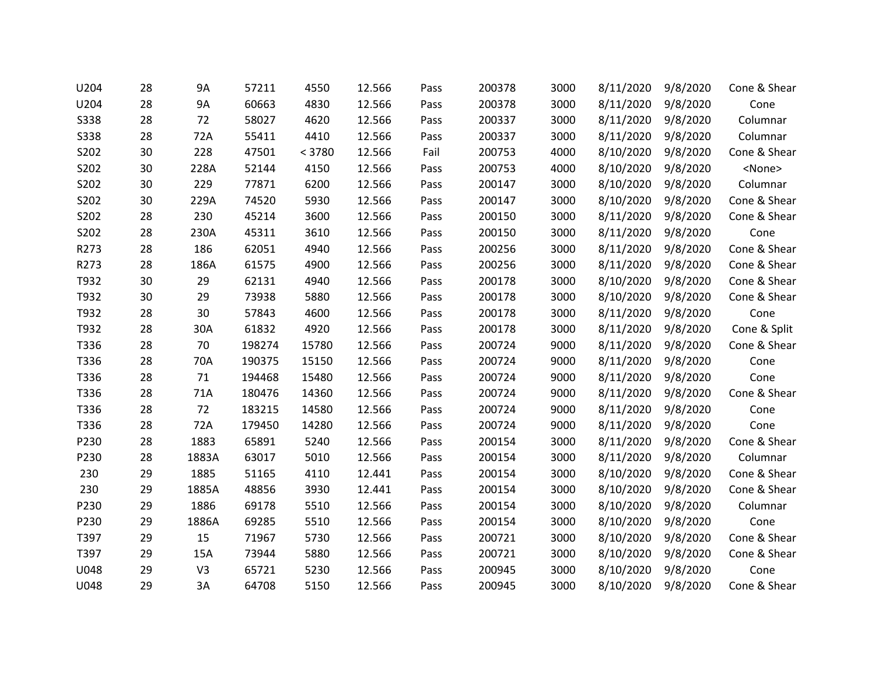| U204        | 28 | <b>9A</b>      | 57211  | 4550   | 12.566 | Pass | 200378 | 3000 | 8/11/2020 | 9/8/2020 | Cone & Shear  |
|-------------|----|----------------|--------|--------|--------|------|--------|------|-----------|----------|---------------|
| U204        | 28 | <b>9A</b>      | 60663  | 4830   | 12.566 | Pass | 200378 | 3000 | 8/11/2020 | 9/8/2020 | Cone          |
| <b>S338</b> | 28 | 72             | 58027  | 4620   | 12.566 | Pass | 200337 | 3000 | 8/11/2020 | 9/8/2020 | Columnar      |
| <b>S338</b> | 28 | 72A            | 55411  | 4410   | 12.566 | Pass | 200337 | 3000 | 8/11/2020 | 9/8/2020 | Columnar      |
| S202        | 30 | 228            | 47501  | < 3780 | 12.566 | Fail | 200753 | 4000 | 8/10/2020 | 9/8/2020 | Cone & Shear  |
| S202        | 30 | 228A           | 52144  | 4150   | 12.566 | Pass | 200753 | 4000 | 8/10/2020 | 9/8/2020 | <none></none> |
| S202        | 30 | 229            | 77871  | 6200   | 12.566 | Pass | 200147 | 3000 | 8/10/2020 | 9/8/2020 | Columnar      |
| S202        | 30 | 229A           | 74520  | 5930   | 12.566 | Pass | 200147 | 3000 | 8/10/2020 | 9/8/2020 | Cone & Shear  |
| S202        | 28 | 230            | 45214  | 3600   | 12.566 | Pass | 200150 | 3000 | 8/11/2020 | 9/8/2020 | Cone & Shear  |
| S202        | 28 | 230A           | 45311  | 3610   | 12.566 | Pass | 200150 | 3000 | 8/11/2020 | 9/8/2020 | Cone          |
| R273        | 28 | 186            | 62051  | 4940   | 12.566 | Pass | 200256 | 3000 | 8/11/2020 | 9/8/2020 | Cone & Shear  |
| R273        | 28 | 186A           | 61575  | 4900   | 12.566 | Pass | 200256 | 3000 | 8/11/2020 | 9/8/2020 | Cone & Shear  |
| T932        | 30 | 29             | 62131  | 4940   | 12.566 | Pass | 200178 | 3000 | 8/10/2020 | 9/8/2020 | Cone & Shear  |
| T932        | 30 | 29             | 73938  | 5880   | 12.566 | Pass | 200178 | 3000 | 8/10/2020 | 9/8/2020 | Cone & Shear  |
| T932        | 28 | 30             | 57843  | 4600   | 12.566 | Pass | 200178 | 3000 | 8/11/2020 | 9/8/2020 | Cone          |
| T932        | 28 | 30A            | 61832  | 4920   | 12.566 | Pass | 200178 | 3000 | 8/11/2020 | 9/8/2020 | Cone & Split  |
| T336        | 28 | 70             | 198274 | 15780  | 12.566 | Pass | 200724 | 9000 | 8/11/2020 | 9/8/2020 | Cone & Shear  |
| T336        | 28 | 70A            | 190375 | 15150  | 12.566 | Pass | 200724 | 9000 | 8/11/2020 | 9/8/2020 | Cone          |
| T336        | 28 | 71             | 194468 | 15480  | 12.566 | Pass | 200724 | 9000 | 8/11/2020 | 9/8/2020 | Cone          |
| T336        | 28 | 71A            | 180476 | 14360  | 12.566 | Pass | 200724 | 9000 | 8/11/2020 | 9/8/2020 | Cone & Shear  |
| T336        | 28 | 72             | 183215 | 14580  | 12.566 | Pass | 200724 | 9000 | 8/11/2020 | 9/8/2020 | Cone          |
| T336        | 28 | 72A            | 179450 | 14280  | 12.566 | Pass | 200724 | 9000 | 8/11/2020 | 9/8/2020 | Cone          |
| P230        | 28 | 1883           | 65891  | 5240   | 12.566 | Pass | 200154 | 3000 | 8/11/2020 | 9/8/2020 | Cone & Shear  |
| P230        | 28 | 1883A          | 63017  | 5010   | 12.566 | Pass | 200154 | 3000 | 8/11/2020 | 9/8/2020 | Columnar      |
| 230         | 29 | 1885           | 51165  | 4110   | 12.441 | Pass | 200154 | 3000 | 8/10/2020 | 9/8/2020 | Cone & Shear  |
| 230         | 29 | 1885A          | 48856  | 3930   | 12.441 | Pass | 200154 | 3000 | 8/10/2020 | 9/8/2020 | Cone & Shear  |
| P230        | 29 | 1886           | 69178  | 5510   | 12.566 | Pass | 200154 | 3000 | 8/10/2020 | 9/8/2020 | Columnar      |
| P230        | 29 | 1886A          | 69285  | 5510   | 12.566 | Pass | 200154 | 3000 | 8/10/2020 | 9/8/2020 | Cone          |
| T397        | 29 | 15             | 71967  | 5730   | 12.566 | Pass | 200721 | 3000 | 8/10/2020 | 9/8/2020 | Cone & Shear  |
| T397        | 29 | 15A            | 73944  | 5880   | 12.566 | Pass | 200721 | 3000 | 8/10/2020 | 9/8/2020 | Cone & Shear  |
| U048        | 29 | V <sub>3</sub> | 65721  | 5230   | 12.566 | Pass | 200945 | 3000 | 8/10/2020 | 9/8/2020 | Cone          |
| U048        | 29 | 3A             | 64708  | 5150   | 12.566 | Pass | 200945 | 3000 | 8/10/2020 | 9/8/2020 | Cone & Shear  |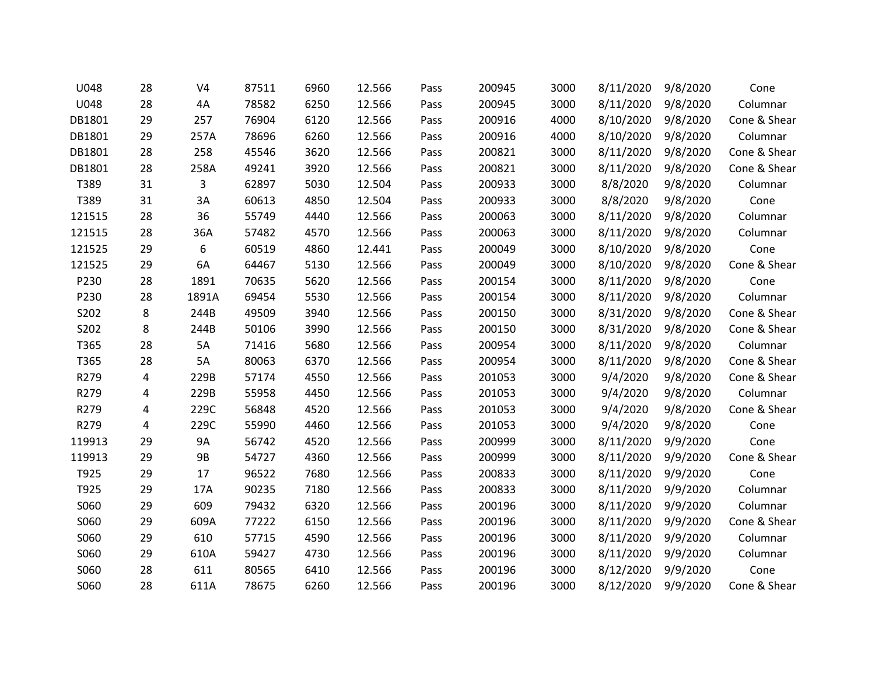| U048   | 28 | V <sub>4</sub> | 87511 | 6960 | 12.566 | Pass | 200945 | 3000 | 8/11/2020 | 9/8/2020 | Cone         |
|--------|----|----------------|-------|------|--------|------|--------|------|-----------|----------|--------------|
| U048   | 28 | 4A             | 78582 | 6250 | 12.566 | Pass | 200945 | 3000 | 8/11/2020 | 9/8/2020 | Columnar     |
| DB1801 | 29 | 257            | 76904 | 6120 | 12.566 | Pass | 200916 | 4000 | 8/10/2020 | 9/8/2020 | Cone & Shear |
| DB1801 | 29 | 257A           | 78696 | 6260 | 12.566 | Pass | 200916 | 4000 | 8/10/2020 | 9/8/2020 | Columnar     |
| DB1801 | 28 | 258            | 45546 | 3620 | 12.566 | Pass | 200821 | 3000 | 8/11/2020 | 9/8/2020 | Cone & Shear |
| DB1801 | 28 | 258A           | 49241 | 3920 | 12.566 | Pass | 200821 | 3000 | 8/11/2020 | 9/8/2020 | Cone & Shear |
| T389   | 31 | 3              | 62897 | 5030 | 12.504 | Pass | 200933 | 3000 | 8/8/2020  | 9/8/2020 | Columnar     |
| T389   | 31 | 3A             | 60613 | 4850 | 12.504 | Pass | 200933 | 3000 | 8/8/2020  | 9/8/2020 | Cone         |
| 121515 | 28 | 36             | 55749 | 4440 | 12.566 | Pass | 200063 | 3000 | 8/11/2020 | 9/8/2020 | Columnar     |
| 121515 | 28 | 36A            | 57482 | 4570 | 12.566 | Pass | 200063 | 3000 | 8/11/2020 | 9/8/2020 | Columnar     |
| 121525 | 29 | 6              | 60519 | 4860 | 12.441 | Pass | 200049 | 3000 | 8/10/2020 | 9/8/2020 | Cone         |
| 121525 | 29 | 6A             | 64467 | 5130 | 12.566 | Pass | 200049 | 3000 | 8/10/2020 | 9/8/2020 | Cone & Shear |
| P230   | 28 | 1891           | 70635 | 5620 | 12.566 | Pass | 200154 | 3000 | 8/11/2020 | 9/8/2020 | Cone         |
| P230   | 28 | 1891A          | 69454 | 5530 | 12.566 | Pass | 200154 | 3000 | 8/11/2020 | 9/8/2020 | Columnar     |
| S202   | 8  | 244B           | 49509 | 3940 | 12.566 | Pass | 200150 | 3000 | 8/31/2020 | 9/8/2020 | Cone & Shear |
| S202   | 8  | 244B           | 50106 | 3990 | 12.566 | Pass | 200150 | 3000 | 8/31/2020 | 9/8/2020 | Cone & Shear |
| T365   | 28 | 5A             | 71416 | 5680 | 12.566 | Pass | 200954 | 3000 | 8/11/2020 | 9/8/2020 | Columnar     |
| T365   | 28 | 5A             | 80063 | 6370 | 12.566 | Pass | 200954 | 3000 | 8/11/2020 | 9/8/2020 | Cone & Shear |
| R279   | 4  | 229B           | 57174 | 4550 | 12.566 | Pass | 201053 | 3000 | 9/4/2020  | 9/8/2020 | Cone & Shear |
| R279   | 4  | 229B           | 55958 | 4450 | 12.566 | Pass | 201053 | 3000 | 9/4/2020  | 9/8/2020 | Columnar     |
| R279   | 4  | 229C           | 56848 | 4520 | 12.566 | Pass | 201053 | 3000 | 9/4/2020  | 9/8/2020 | Cone & Shear |
| R279   | 4  | 229C           | 55990 | 4460 | 12.566 | Pass | 201053 | 3000 | 9/4/2020  | 9/8/2020 | Cone         |
| 119913 | 29 | 9A             | 56742 | 4520 | 12.566 | Pass | 200999 | 3000 | 8/11/2020 | 9/9/2020 | Cone         |
| 119913 | 29 | <b>9B</b>      | 54727 | 4360 | 12.566 | Pass | 200999 | 3000 | 8/11/2020 | 9/9/2020 | Cone & Shear |
| T925   | 29 | 17             | 96522 | 7680 | 12.566 | Pass | 200833 | 3000 | 8/11/2020 | 9/9/2020 | Cone         |
| T925   | 29 | 17A            | 90235 | 7180 | 12.566 | Pass | 200833 | 3000 | 8/11/2020 | 9/9/2020 | Columnar     |
| S060   | 29 | 609            | 79432 | 6320 | 12.566 | Pass | 200196 | 3000 | 8/11/2020 | 9/9/2020 | Columnar     |
| S060   | 29 | 609A           | 77222 | 6150 | 12.566 | Pass | 200196 | 3000 | 8/11/2020 | 9/9/2020 | Cone & Shear |
| S060   | 29 | 610            | 57715 | 4590 | 12.566 | Pass | 200196 | 3000 | 8/11/2020 | 9/9/2020 | Columnar     |
| S060   | 29 | 610A           | 59427 | 4730 | 12.566 | Pass | 200196 | 3000 | 8/11/2020 | 9/9/2020 | Columnar     |
| S060   | 28 | 611            | 80565 | 6410 | 12.566 | Pass | 200196 | 3000 | 8/12/2020 | 9/9/2020 | Cone         |
| S060   | 28 | 611A           | 78675 | 6260 | 12.566 | Pass | 200196 | 3000 | 8/12/2020 | 9/9/2020 | Cone & Shear |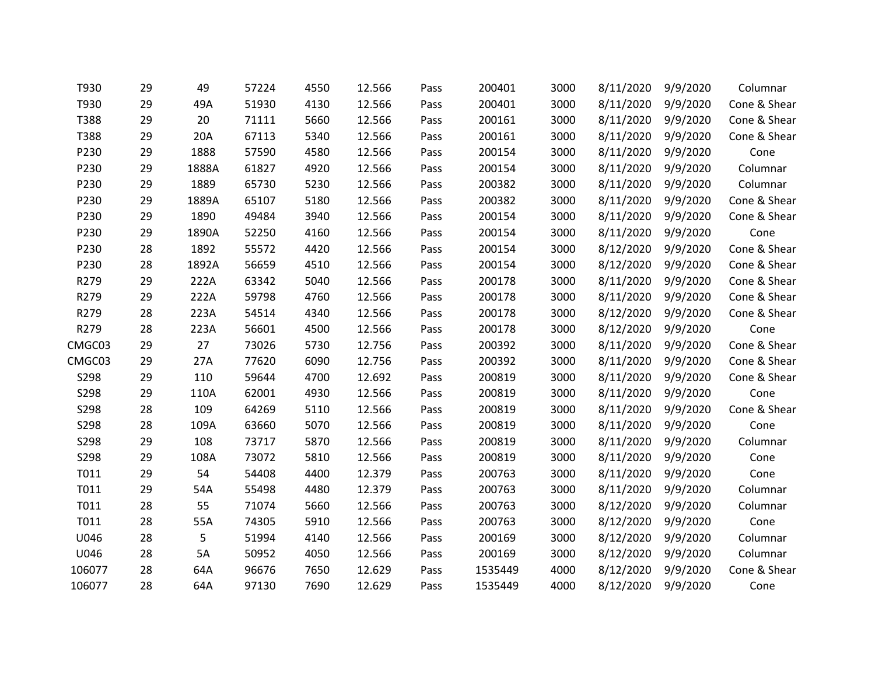| T930   | 29 | 49    | 57224 | 4550 | 12.566 | Pass | 200401  | 3000 | 8/11/2020 | 9/9/2020 | Columnar     |
|--------|----|-------|-------|------|--------|------|---------|------|-----------|----------|--------------|
| T930   | 29 | 49A   | 51930 | 4130 | 12.566 | Pass | 200401  | 3000 | 8/11/2020 | 9/9/2020 | Cone & Shear |
| T388   | 29 | 20    | 71111 | 5660 | 12.566 | Pass | 200161  | 3000 | 8/11/2020 | 9/9/2020 | Cone & Shear |
| T388   | 29 | 20A   | 67113 | 5340 | 12.566 | Pass | 200161  | 3000 | 8/11/2020 | 9/9/2020 | Cone & Shear |
| P230   | 29 | 1888  | 57590 | 4580 | 12.566 | Pass | 200154  | 3000 | 8/11/2020 | 9/9/2020 | Cone         |
| P230   | 29 | 1888A | 61827 | 4920 | 12.566 | Pass | 200154  | 3000 | 8/11/2020 | 9/9/2020 | Columnar     |
| P230   | 29 | 1889  | 65730 | 5230 | 12.566 | Pass | 200382  | 3000 | 8/11/2020 | 9/9/2020 | Columnar     |
| P230   | 29 | 1889A | 65107 | 5180 | 12.566 | Pass | 200382  | 3000 | 8/11/2020 | 9/9/2020 | Cone & Shear |
| P230   | 29 | 1890  | 49484 | 3940 | 12.566 | Pass | 200154  | 3000 | 8/11/2020 | 9/9/2020 | Cone & Shear |
| P230   | 29 | 1890A | 52250 | 4160 | 12.566 | Pass | 200154  | 3000 | 8/11/2020 | 9/9/2020 | Cone         |
| P230   | 28 | 1892  | 55572 | 4420 | 12.566 | Pass | 200154  | 3000 | 8/12/2020 | 9/9/2020 | Cone & Shear |
| P230   | 28 | 1892A | 56659 | 4510 | 12.566 | Pass | 200154  | 3000 | 8/12/2020 | 9/9/2020 | Cone & Shear |
| R279   | 29 | 222A  | 63342 | 5040 | 12.566 | Pass | 200178  | 3000 | 8/11/2020 | 9/9/2020 | Cone & Shear |
| R279   | 29 | 222A  | 59798 | 4760 | 12.566 | Pass | 200178  | 3000 | 8/11/2020 | 9/9/2020 | Cone & Shear |
| R279   | 28 | 223A  | 54514 | 4340 | 12.566 | Pass | 200178  | 3000 | 8/12/2020 | 9/9/2020 | Cone & Shear |
| R279   | 28 | 223A  | 56601 | 4500 | 12.566 | Pass | 200178  | 3000 | 8/12/2020 | 9/9/2020 | Cone         |
| CMGC03 | 29 | 27    | 73026 | 5730 | 12.756 | Pass | 200392  | 3000 | 8/11/2020 | 9/9/2020 | Cone & Shear |
| CMGC03 | 29 | 27A   | 77620 | 6090 | 12.756 | Pass | 200392  | 3000 | 8/11/2020 | 9/9/2020 | Cone & Shear |
| S298   | 29 | 110   | 59644 | 4700 | 12.692 | Pass | 200819  | 3000 | 8/11/2020 | 9/9/2020 | Cone & Shear |
| S298   | 29 | 110A  | 62001 | 4930 | 12.566 | Pass | 200819  | 3000 | 8/11/2020 | 9/9/2020 | Cone         |
| S298   | 28 | 109   | 64269 | 5110 | 12.566 | Pass | 200819  | 3000 | 8/11/2020 | 9/9/2020 | Cone & Shear |
| S298   | 28 | 109A  | 63660 | 5070 | 12.566 | Pass | 200819  | 3000 | 8/11/2020 | 9/9/2020 | Cone         |
| S298   | 29 | 108   | 73717 | 5870 | 12.566 | Pass | 200819  | 3000 | 8/11/2020 | 9/9/2020 | Columnar     |
| S298   | 29 | 108A  | 73072 | 5810 | 12.566 | Pass | 200819  | 3000 | 8/11/2020 | 9/9/2020 | Cone         |
| T011   | 29 | 54    | 54408 | 4400 | 12.379 | Pass | 200763  | 3000 | 8/11/2020 | 9/9/2020 | Cone         |
| T011   | 29 | 54A   | 55498 | 4480 | 12.379 | Pass | 200763  | 3000 | 8/11/2020 | 9/9/2020 | Columnar     |
| T011   | 28 | 55    | 71074 | 5660 | 12.566 | Pass | 200763  | 3000 | 8/12/2020 | 9/9/2020 | Columnar     |
| T011   | 28 | 55A   | 74305 | 5910 | 12.566 | Pass | 200763  | 3000 | 8/12/2020 | 9/9/2020 | Cone         |
| U046   | 28 | 5     | 51994 | 4140 | 12.566 | Pass | 200169  | 3000 | 8/12/2020 | 9/9/2020 | Columnar     |
| U046   | 28 | 5A    | 50952 | 4050 | 12.566 | Pass | 200169  | 3000 | 8/12/2020 | 9/9/2020 | Columnar     |
| 106077 | 28 | 64A   | 96676 | 7650 | 12.629 | Pass | 1535449 | 4000 | 8/12/2020 | 9/9/2020 | Cone & Shear |
| 106077 | 28 | 64A   | 97130 | 7690 | 12.629 | Pass | 1535449 | 4000 | 8/12/2020 | 9/9/2020 | Cone         |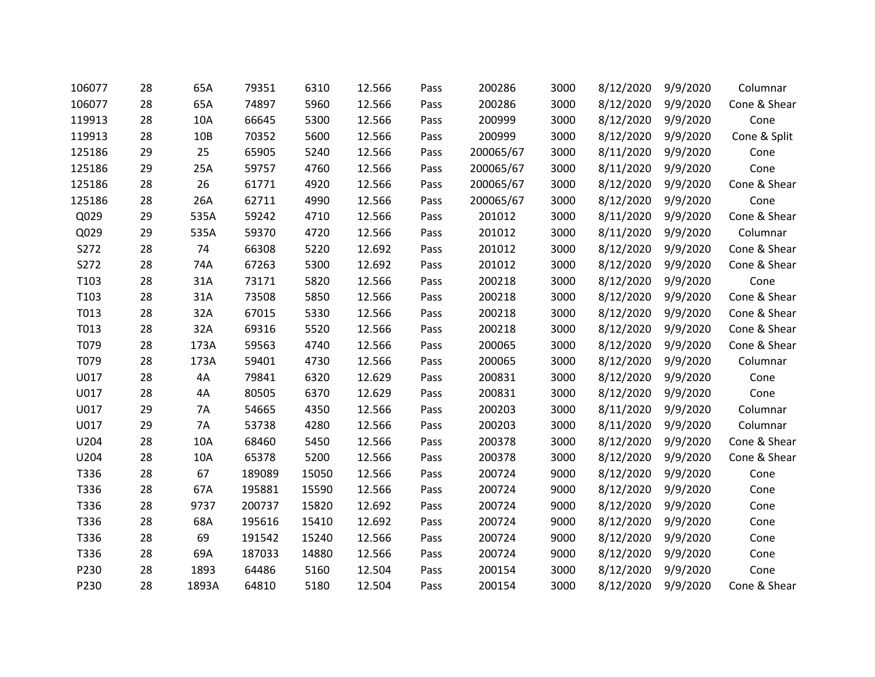| 106077 | 28 | 65A       | 79351  | 6310  | 12.566 | Pass | 200286    | 3000 | 8/12/2020 | 9/9/2020 | Columnar     |
|--------|----|-----------|--------|-------|--------|------|-----------|------|-----------|----------|--------------|
| 106077 | 28 | 65A       | 74897  | 5960  | 12.566 | Pass | 200286    | 3000 | 8/12/2020 | 9/9/2020 | Cone & Shear |
| 119913 | 28 | 10A       | 66645  | 5300  | 12.566 | Pass | 200999    | 3000 | 8/12/2020 | 9/9/2020 | Cone         |
| 119913 | 28 | 10B       | 70352  | 5600  | 12.566 | Pass | 200999    | 3000 | 8/12/2020 | 9/9/2020 | Cone & Split |
| 125186 | 29 | 25        | 65905  | 5240  | 12.566 | Pass | 200065/67 | 3000 | 8/11/2020 | 9/9/2020 | Cone         |
| 125186 | 29 | 25A       | 59757  | 4760  | 12.566 | Pass | 200065/67 | 3000 | 8/11/2020 | 9/9/2020 | Cone         |
| 125186 | 28 | 26        | 61771  | 4920  | 12.566 | Pass | 200065/67 | 3000 | 8/12/2020 | 9/9/2020 | Cone & Shear |
| 125186 | 28 | 26A       | 62711  | 4990  | 12.566 | Pass | 200065/67 | 3000 | 8/12/2020 | 9/9/2020 | Cone         |
| Q029   | 29 | 535A      | 59242  | 4710  | 12.566 | Pass | 201012    | 3000 | 8/11/2020 | 9/9/2020 | Cone & Shear |
| Q029   | 29 | 535A      | 59370  | 4720  | 12.566 | Pass | 201012    | 3000 | 8/11/2020 | 9/9/2020 | Columnar     |
| S272   | 28 | 74        | 66308  | 5220  | 12.692 | Pass | 201012    | 3000 | 8/12/2020 | 9/9/2020 | Cone & Shear |
| S272   | 28 | 74A       | 67263  | 5300  | 12.692 | Pass | 201012    | 3000 | 8/12/2020 | 9/9/2020 | Cone & Shear |
| T103   | 28 | 31A       | 73171  | 5820  | 12.566 | Pass | 200218    | 3000 | 8/12/2020 | 9/9/2020 | Cone         |
| T103   | 28 | 31A       | 73508  | 5850  | 12.566 | Pass | 200218    | 3000 | 8/12/2020 | 9/9/2020 | Cone & Shear |
| T013   | 28 | 32A       | 67015  | 5330  | 12.566 | Pass | 200218    | 3000 | 8/12/2020 | 9/9/2020 | Cone & Shear |
| T013   | 28 | 32A       | 69316  | 5520  | 12.566 | Pass | 200218    | 3000 | 8/12/2020 | 9/9/2020 | Cone & Shear |
| T079   | 28 | 173A      | 59563  | 4740  | 12.566 | Pass | 200065    | 3000 | 8/12/2020 | 9/9/2020 | Cone & Shear |
| T079   | 28 | 173A      | 59401  | 4730  | 12.566 | Pass | 200065    | 3000 | 8/12/2020 | 9/9/2020 | Columnar     |
| U017   | 28 | 4A        | 79841  | 6320  | 12.629 | Pass | 200831    | 3000 | 8/12/2020 | 9/9/2020 | Cone         |
| U017   | 28 | 4A        | 80505  | 6370  | 12.629 | Pass | 200831    | 3000 | 8/12/2020 | 9/9/2020 | Cone         |
| U017   | 29 | <b>7A</b> | 54665  | 4350  | 12.566 | Pass | 200203    | 3000 | 8/11/2020 | 9/9/2020 | Columnar     |
| U017   | 29 | 7A        | 53738  | 4280  | 12.566 | Pass | 200203    | 3000 | 8/11/2020 | 9/9/2020 | Columnar     |
| U204   | 28 | 10A       | 68460  | 5450  | 12.566 | Pass | 200378    | 3000 | 8/12/2020 | 9/9/2020 | Cone & Shear |
| U204   | 28 | 10A       | 65378  | 5200  | 12.566 | Pass | 200378    | 3000 | 8/12/2020 | 9/9/2020 | Cone & Shear |
| T336   | 28 | 67        | 189089 | 15050 | 12.566 | Pass | 200724    | 9000 | 8/12/2020 | 9/9/2020 | Cone         |
| T336   | 28 | 67A       | 195881 | 15590 | 12.566 | Pass | 200724    | 9000 | 8/12/2020 | 9/9/2020 | Cone         |
| T336   | 28 | 9737      | 200737 | 15820 | 12.692 | Pass | 200724    | 9000 | 8/12/2020 | 9/9/2020 | Cone         |
| T336   | 28 | 68A       | 195616 | 15410 | 12.692 | Pass | 200724    | 9000 | 8/12/2020 | 9/9/2020 | Cone         |
| T336   | 28 | 69        | 191542 | 15240 | 12.566 | Pass | 200724    | 9000 | 8/12/2020 | 9/9/2020 | Cone         |
| T336   | 28 | 69A       | 187033 | 14880 | 12.566 | Pass | 200724    | 9000 | 8/12/2020 | 9/9/2020 | Cone         |
| P230   | 28 | 1893      | 64486  | 5160  | 12.504 | Pass | 200154    | 3000 | 8/12/2020 | 9/9/2020 | Cone         |
| P230   | 28 | 1893A     | 64810  | 5180  | 12.504 | Pass | 200154    | 3000 | 8/12/2020 | 9/9/2020 | Cone & Shear |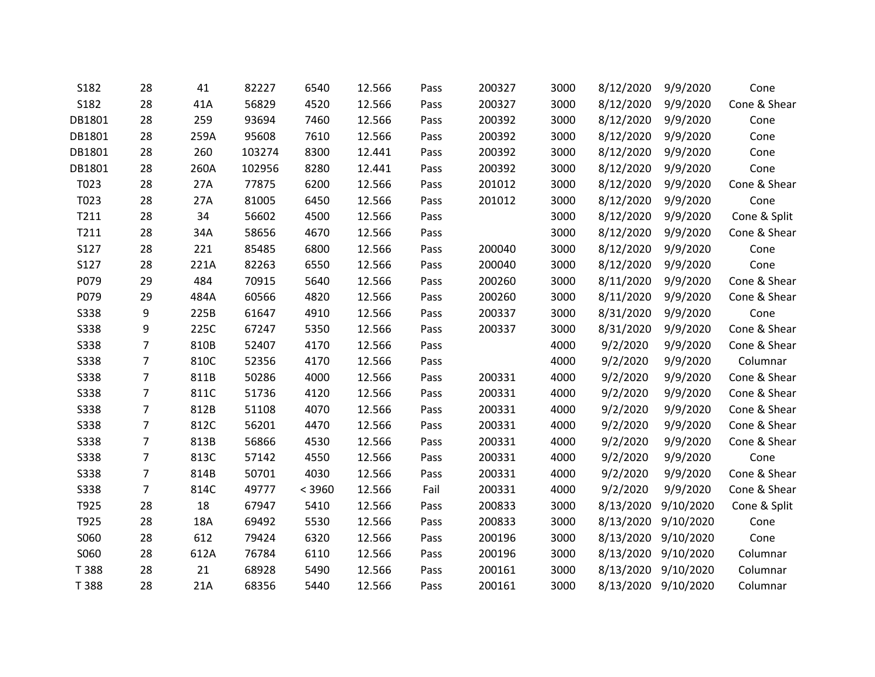| S182        | 28             | 41   | 82227  | 6540   | 12.566 | Pass | 200327 | 3000 | 8/12/2020 | 9/9/2020            | Cone         |
|-------------|----------------|------|--------|--------|--------|------|--------|------|-----------|---------------------|--------------|
| S182        | 28             | 41A  | 56829  | 4520   | 12.566 | Pass | 200327 | 3000 | 8/12/2020 | 9/9/2020            | Cone & Shear |
| DB1801      | 28             | 259  | 93694  | 7460   | 12.566 | Pass | 200392 | 3000 | 8/12/2020 | 9/9/2020            | Cone         |
| DB1801      | 28             | 259A | 95608  | 7610   | 12.566 | Pass | 200392 | 3000 | 8/12/2020 | 9/9/2020            | Cone         |
| DB1801      | 28             | 260  | 103274 | 8300   | 12.441 | Pass | 200392 | 3000 | 8/12/2020 | 9/9/2020            | Cone         |
| DB1801      | 28             | 260A | 102956 | 8280   | 12.441 | Pass | 200392 | 3000 | 8/12/2020 | 9/9/2020            | Cone         |
| T023        | 28             | 27A  | 77875  | 6200   | 12.566 | Pass | 201012 | 3000 | 8/12/2020 | 9/9/2020            | Cone & Shear |
| T023        | 28             | 27A  | 81005  | 6450   | 12.566 | Pass | 201012 | 3000 | 8/12/2020 | 9/9/2020            | Cone         |
| T211        | 28             | 34   | 56602  | 4500   | 12.566 | Pass |        | 3000 | 8/12/2020 | 9/9/2020            | Cone & Split |
| T211        | 28             | 34A  | 58656  | 4670   | 12.566 | Pass |        | 3000 | 8/12/2020 | 9/9/2020            | Cone & Shear |
| S127        | 28             | 221  | 85485  | 6800   | 12.566 | Pass | 200040 | 3000 | 8/12/2020 | 9/9/2020            | Cone         |
| S127        | 28             | 221A | 82263  | 6550   | 12.566 | Pass | 200040 | 3000 | 8/12/2020 | 9/9/2020            | Cone         |
| P079        | 29             | 484  | 70915  | 5640   | 12.566 | Pass | 200260 | 3000 | 8/11/2020 | 9/9/2020            | Cone & Shear |
| P079        | 29             | 484A | 60566  | 4820   | 12.566 | Pass | 200260 | 3000 | 8/11/2020 | 9/9/2020            | Cone & Shear |
| <b>S338</b> | 9              | 225B | 61647  | 4910   | 12.566 | Pass | 200337 | 3000 | 8/31/2020 | 9/9/2020            | Cone         |
| <b>S338</b> | 9              | 225C | 67247  | 5350   | 12.566 | Pass | 200337 | 3000 | 8/31/2020 | 9/9/2020            | Cone & Shear |
| <b>S338</b> | $\overline{7}$ | 810B | 52407  | 4170   | 12.566 | Pass |        | 4000 | 9/2/2020  | 9/9/2020            | Cone & Shear |
| <b>S338</b> | $\overline{7}$ | 810C | 52356  | 4170   | 12.566 | Pass |        | 4000 | 9/2/2020  | 9/9/2020            | Columnar     |
| <b>S338</b> | $\overline{7}$ | 811B | 50286  | 4000   | 12.566 | Pass | 200331 | 4000 | 9/2/2020  | 9/9/2020            | Cone & Shear |
| <b>S338</b> | $\overline{7}$ | 811C | 51736  | 4120   | 12.566 | Pass | 200331 | 4000 | 9/2/2020  | 9/9/2020            | Cone & Shear |
| <b>S338</b> | $\overline{7}$ | 812B | 51108  | 4070   | 12.566 | Pass | 200331 | 4000 | 9/2/2020  | 9/9/2020            | Cone & Shear |
| <b>S338</b> | $\overline{7}$ | 812C | 56201  | 4470   | 12.566 | Pass | 200331 | 4000 | 9/2/2020  | 9/9/2020            | Cone & Shear |
| <b>S338</b> | $\overline{7}$ | 813B | 56866  | 4530   | 12.566 | Pass | 200331 | 4000 | 9/2/2020  | 9/9/2020            | Cone & Shear |
| <b>S338</b> | $\overline{7}$ | 813C | 57142  | 4550   | 12.566 | Pass | 200331 | 4000 | 9/2/2020  | 9/9/2020            | Cone         |
| <b>S338</b> | 7              | 814B | 50701  | 4030   | 12.566 | Pass | 200331 | 4000 | 9/2/2020  | 9/9/2020            | Cone & Shear |
| <b>S338</b> | $\overline{7}$ | 814C | 49777  | < 3960 | 12.566 | Fail | 200331 | 4000 | 9/2/2020  | 9/9/2020            | Cone & Shear |
| T925        | 28             | 18   | 67947  | 5410   | 12.566 | Pass | 200833 | 3000 | 8/13/2020 | 9/10/2020           | Cone & Split |
| T925        | 28             | 18A  | 69492  | 5530   | 12.566 | Pass | 200833 | 3000 | 8/13/2020 | 9/10/2020           | Cone         |
| S060        | 28             | 612  | 79424  | 6320   | 12.566 | Pass | 200196 | 3000 | 8/13/2020 | 9/10/2020           | Cone         |
| S060        | 28             | 612A | 76784  | 6110   | 12.566 | Pass | 200196 | 3000 | 8/13/2020 | 9/10/2020           | Columnar     |
| T 388       | 28             | 21   | 68928  | 5490   | 12.566 | Pass | 200161 | 3000 | 8/13/2020 | 9/10/2020           | Columnar     |
| T 388       | 28             | 21A  | 68356  | 5440   | 12.566 | Pass | 200161 | 3000 |           | 8/13/2020 9/10/2020 | Columnar     |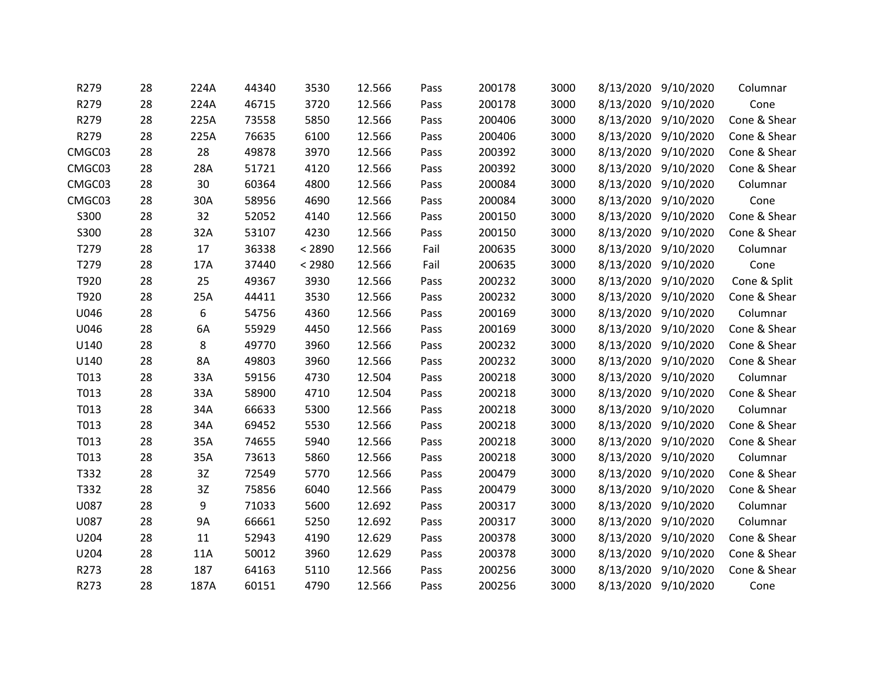| R279   | 28 | 224A          | 44340 | 3530   | 12.566 | Pass | 200178 | 3000 |           | 8/13/2020 9/10/2020 | Columnar     |
|--------|----|---------------|-------|--------|--------|------|--------|------|-----------|---------------------|--------------|
| R279   | 28 | 224A          | 46715 | 3720   | 12.566 | Pass | 200178 | 3000 |           | 8/13/2020 9/10/2020 | Cone         |
| R279   | 28 | 225A          | 73558 | 5850   | 12.566 | Pass | 200406 | 3000 |           | 8/13/2020 9/10/2020 | Cone & Shear |
| R279   | 28 | 225A          | 76635 | 6100   | 12.566 | Pass | 200406 | 3000 |           | 8/13/2020 9/10/2020 | Cone & Shear |
| CMGC03 | 28 | 28            | 49878 | 3970   | 12.566 | Pass | 200392 | 3000 | 8/13/2020 | 9/10/2020           | Cone & Shear |
| CMGC03 | 28 | 28A           | 51721 | 4120   | 12.566 | Pass | 200392 | 3000 |           | 8/13/2020 9/10/2020 | Cone & Shear |
| CMGC03 | 28 | 30            | 60364 | 4800   | 12.566 | Pass | 200084 | 3000 |           | 8/13/2020 9/10/2020 | Columnar     |
| CMGC03 | 28 | 30A           | 58956 | 4690   | 12.566 | Pass | 200084 | 3000 |           | 8/13/2020 9/10/2020 | Cone         |
| S300   | 28 | 32            | 52052 | 4140   | 12.566 | Pass | 200150 | 3000 |           | 8/13/2020 9/10/2020 | Cone & Shear |
| S300   | 28 | 32A           | 53107 | 4230   | 12.566 | Pass | 200150 | 3000 | 8/13/2020 | 9/10/2020           | Cone & Shear |
| T279   | 28 | 17            | 36338 | < 2890 | 12.566 | Fail | 200635 | 3000 | 8/13/2020 | 9/10/2020           | Columnar     |
| T279   | 28 | 17A           | 37440 | < 2980 | 12.566 | Fail | 200635 | 3000 |           | 8/13/2020 9/10/2020 | Cone         |
| T920   | 28 | 25            | 49367 | 3930   | 12.566 | Pass | 200232 | 3000 | 8/13/2020 | 9/10/2020           | Cone & Split |
| T920   | 28 | 25A           | 44411 | 3530   | 12.566 | Pass | 200232 | 3000 |           | 8/13/2020 9/10/2020 | Cone & Shear |
| U046   | 28 | 6             | 54756 | 4360   | 12.566 | Pass | 200169 | 3000 |           | 8/13/2020 9/10/2020 | Columnar     |
| U046   | 28 | 6A            | 55929 | 4450   | 12.566 | Pass | 200169 | 3000 | 8/13/2020 | 9/10/2020           | Cone & Shear |
| U140   | 28 | 8             | 49770 | 3960   | 12.566 | Pass | 200232 | 3000 |           | 8/13/2020 9/10/2020 | Cone & Shear |
| U140   | 28 | 8A            | 49803 | 3960   | 12.566 | Pass | 200232 | 3000 |           | 8/13/2020 9/10/2020 | Cone & Shear |
| T013   | 28 | 33A           | 59156 | 4730   | 12.504 | Pass | 200218 | 3000 |           | 8/13/2020 9/10/2020 | Columnar     |
| T013   | 28 | 33A           | 58900 | 4710   | 12.504 | Pass | 200218 | 3000 |           | 8/13/2020 9/10/2020 | Cone & Shear |
| T013   | 28 | 34A           | 66633 | 5300   | 12.566 | Pass | 200218 | 3000 |           | 8/13/2020 9/10/2020 | Columnar     |
| T013   | 28 | 34A           | 69452 | 5530   | 12.566 | Pass | 200218 | 3000 | 8/13/2020 | 9/10/2020           | Cone & Shear |
| T013   | 28 | 35A           | 74655 | 5940   | 12.566 | Pass | 200218 | 3000 |           | 8/13/2020 9/10/2020 | Cone & Shear |
| T013   | 28 | 35A           | 73613 | 5860   | 12.566 | Pass | 200218 | 3000 |           | 8/13/2020 9/10/2020 | Columnar     |
| T332   | 28 | 3Z            | 72549 | 5770   | 12.566 | Pass | 200479 | 3000 |           | 8/13/2020 9/10/2020 | Cone & Shear |
| T332   | 28 | $3\mathsf{Z}$ | 75856 | 6040   | 12.566 | Pass | 200479 | 3000 |           | 8/13/2020 9/10/2020 | Cone & Shear |
| U087   | 28 | 9             | 71033 | 5600   | 12.692 | Pass | 200317 | 3000 | 8/13/2020 | 9/10/2020           | Columnar     |
| U087   | 28 | <b>9A</b>     | 66661 | 5250   | 12.692 | Pass | 200317 | 3000 | 8/13/2020 | 9/10/2020           | Columnar     |
| U204   | 28 | 11            | 52943 | 4190   | 12.629 | Pass | 200378 | 3000 |           | 8/13/2020 9/10/2020 | Cone & Shear |
| U204   | 28 | 11A           | 50012 | 3960   | 12.629 | Pass | 200378 | 3000 | 8/13/2020 | 9/10/2020           | Cone & Shear |
| R273   | 28 | 187           | 64163 | 5110   | 12.566 | Pass | 200256 | 3000 |           | 8/13/2020 9/10/2020 | Cone & Shear |
| R273   | 28 | 187A          | 60151 | 4790   | 12.566 | Pass | 200256 | 3000 |           | 8/13/2020 9/10/2020 | Cone         |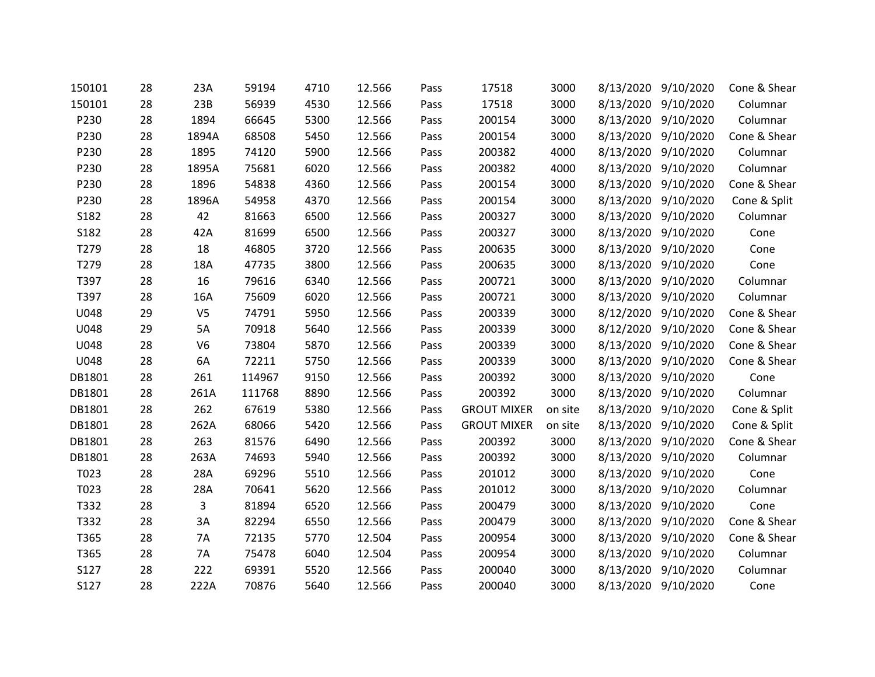| 150101 | 28 | 23A            | 59194  | 4710 | 12.566 | Pass | 17518              | 3000    | 8/13/2020 | 9/10/2020           | Cone & Shear |
|--------|----|----------------|--------|------|--------|------|--------------------|---------|-----------|---------------------|--------------|
| 150101 | 28 | 23B            | 56939  | 4530 | 12.566 | Pass | 17518              | 3000    |           | 8/13/2020 9/10/2020 | Columnar     |
| P230   | 28 | 1894           | 66645  | 5300 | 12.566 | Pass | 200154             | 3000    |           | 8/13/2020 9/10/2020 | Columnar     |
| P230   | 28 | 1894A          | 68508  | 5450 | 12.566 | Pass | 200154             | 3000    | 8/13/2020 | 9/10/2020           | Cone & Shear |
| P230   | 28 | 1895           | 74120  | 5900 | 12.566 | Pass | 200382             | 4000    | 8/13/2020 | 9/10/2020           | Columnar     |
| P230   | 28 | 1895A          | 75681  | 6020 | 12.566 | Pass | 200382             | 4000    |           | 8/13/2020 9/10/2020 | Columnar     |
| P230   | 28 | 1896           | 54838  | 4360 | 12.566 | Pass | 200154             | 3000    | 8/13/2020 | 9/10/2020           | Cone & Shear |
| P230   | 28 | 1896A          | 54958  | 4370 | 12.566 | Pass | 200154             | 3000    |           | 8/13/2020 9/10/2020 | Cone & Split |
| S182   | 28 | 42             | 81663  | 6500 | 12.566 | Pass | 200327             | 3000    |           | 8/13/2020 9/10/2020 | Columnar     |
| S182   | 28 | 42A            | 81699  | 6500 | 12.566 | Pass | 200327             | 3000    | 8/13/2020 | 9/10/2020           | Cone         |
| T279   | 28 | 18             | 46805  | 3720 | 12.566 | Pass | 200635             | 3000    | 8/13/2020 | 9/10/2020           | Cone         |
| T279   | 28 | 18A            | 47735  | 3800 | 12.566 | Pass | 200635             | 3000    |           | 8/13/2020 9/10/2020 | Cone         |
| T397   | 28 | 16             | 79616  | 6340 | 12.566 | Pass | 200721             | 3000    | 8/13/2020 | 9/10/2020           | Columnar     |
| T397   | 28 | 16A            | 75609  | 6020 | 12.566 | Pass | 200721             | 3000    |           | 8/13/2020 9/10/2020 | Columnar     |
| U048   | 29 | V <sub>5</sub> | 74791  | 5950 | 12.566 | Pass | 200339             | 3000    |           | 8/12/2020 9/10/2020 | Cone & Shear |
| U048   | 29 | 5A             | 70918  | 5640 | 12.566 | Pass | 200339             | 3000    | 8/12/2020 | 9/10/2020           | Cone & Shear |
| U048   | 28 | V <sub>6</sub> | 73804  | 5870 | 12.566 | Pass | 200339             | 3000    | 8/13/2020 | 9/10/2020           | Cone & Shear |
| U048   | 28 | 6A             | 72211  | 5750 | 12.566 | Pass | 200339             | 3000    | 8/13/2020 | 9/10/2020           | Cone & Shear |
| DB1801 | 28 | 261            | 114967 | 9150 | 12.566 | Pass | 200392             | 3000    | 8/13/2020 | 9/10/2020           | Cone         |
| DB1801 | 28 | 261A           | 111768 | 8890 | 12.566 | Pass | 200392             | 3000    |           | 8/13/2020 9/10/2020 | Columnar     |
| DB1801 | 28 | 262            | 67619  | 5380 | 12.566 | Pass | <b>GROUT MIXER</b> | on site | 8/13/2020 | 9/10/2020           | Cone & Split |
| DB1801 | 28 | 262A           | 68066  | 5420 | 12.566 | Pass | <b>GROUT MIXER</b> | on site | 8/13/2020 | 9/10/2020           | Cone & Split |
| DB1801 | 28 | 263            | 81576  | 6490 | 12.566 | Pass | 200392             | 3000    |           | 8/13/2020 9/10/2020 | Cone & Shear |
| DB1801 | 28 | 263A           | 74693  | 5940 | 12.566 | Pass | 200392             | 3000    | 8/13/2020 | 9/10/2020           | Columnar     |
| T023   | 28 | 28A            | 69296  | 5510 | 12.566 | Pass | 201012             | 3000    | 8/13/2020 | 9/10/2020           | Cone         |
| T023   | 28 | 28A            | 70641  | 5620 | 12.566 | Pass | 201012             | 3000    |           | 8/13/2020 9/10/2020 | Columnar     |
| T332   | 28 | 3              | 81894  | 6520 | 12.566 | Pass | 200479             | 3000    | 8/13/2020 | 9/10/2020           | Cone         |
| T332   | 28 | 3A             | 82294  | 6550 | 12.566 | Pass | 200479             | 3000    | 8/13/2020 | 9/10/2020           | Cone & Shear |
| T365   | 28 | 7A             | 72135  | 5770 | 12.504 | Pass | 200954             | 3000    |           | 8/13/2020 9/10/2020 | Cone & Shear |
| T365   | 28 | 7A             | 75478  | 6040 | 12.504 | Pass | 200954             | 3000    | 8/13/2020 | 9/10/2020           | Columnar     |
| S127   | 28 | 222            | 69391  | 5520 | 12.566 | Pass | 200040             | 3000    | 8/13/2020 | 9/10/2020           | Columnar     |
| S127   | 28 | 222A           | 70876  | 5640 | 12.566 | Pass | 200040             | 3000    |           | 8/13/2020 9/10/2020 | Cone         |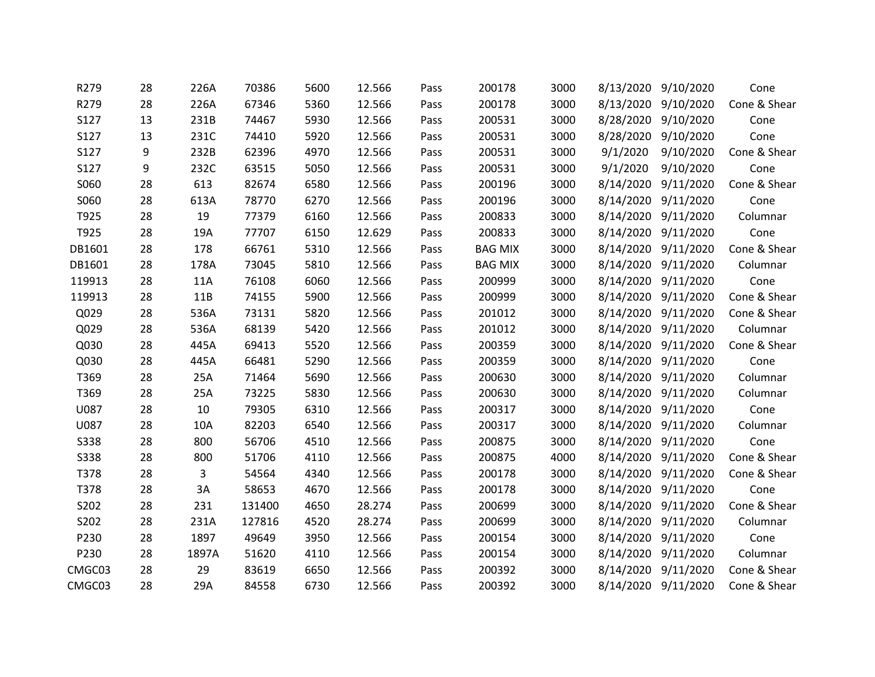| R279        | 28 | 226A  | 70386  | 5600 | 12.566 | Pass | 200178         | 3000 |          | 8/13/2020 9/10/2020 | Cone         |
|-------------|----|-------|--------|------|--------|------|----------------|------|----------|---------------------|--------------|
| R279        | 28 | 226A  | 67346  | 5360 | 12.566 | Pass | 200178         | 3000 |          | 8/13/2020 9/10/2020 | Cone & Shear |
| S127        | 13 | 231B  | 74467  | 5930 | 12.566 | Pass | 200531         | 3000 |          | 8/28/2020 9/10/2020 | Cone         |
| S127        | 13 | 231C  | 74410  | 5920 | 12.566 | Pass | 200531         | 3000 |          | 8/28/2020 9/10/2020 | Cone         |
| S127        | 9  | 232B  | 62396  | 4970 | 12.566 | Pass | 200531         | 3000 | 9/1/2020 | 9/10/2020           | Cone & Shear |
| <b>S127</b> | 9  | 232C  | 63515  | 5050 | 12.566 | Pass | 200531         | 3000 | 9/1/2020 | 9/10/2020           | Cone         |
| S060        | 28 | 613   | 82674  | 6580 | 12.566 | Pass | 200196         | 3000 |          | 8/14/2020 9/11/2020 | Cone & Shear |
| S060        | 28 | 613A  | 78770  | 6270 | 12.566 | Pass | 200196         | 3000 |          | 8/14/2020 9/11/2020 | Cone         |
| T925        | 28 | 19    | 77379  | 6160 | 12.566 | Pass | 200833         | 3000 |          | 8/14/2020 9/11/2020 | Columnar     |
| T925        | 28 | 19A   | 77707  | 6150 | 12.629 | Pass | 200833         | 3000 |          | 8/14/2020 9/11/2020 | Cone         |
| DB1601      | 28 | 178   | 66761  | 5310 | 12.566 | Pass | <b>BAG MIX</b> | 3000 |          | 8/14/2020 9/11/2020 | Cone & Shear |
| DB1601      | 28 | 178A  | 73045  | 5810 | 12.566 | Pass | <b>BAG MIX</b> | 3000 |          | 8/14/2020 9/11/2020 | Columnar     |
| 119913      | 28 | 11A   | 76108  | 6060 | 12.566 | Pass | 200999         | 3000 |          | 8/14/2020 9/11/2020 | Cone         |
| 119913      | 28 | 11B   | 74155  | 5900 | 12.566 | Pass | 200999         | 3000 |          | 8/14/2020 9/11/2020 | Cone & Shear |
| Q029        | 28 | 536A  | 73131  | 5820 | 12.566 | Pass | 201012         | 3000 |          | 8/14/2020 9/11/2020 | Cone & Shear |
| Q029        | 28 | 536A  | 68139  | 5420 | 12.566 | Pass | 201012         | 3000 |          | 8/14/2020 9/11/2020 | Columnar     |
| Q030        | 28 | 445A  | 69413  | 5520 | 12.566 | Pass | 200359         | 3000 |          | 8/14/2020 9/11/2020 | Cone & Shear |
| Q030        | 28 | 445A  | 66481  | 5290 | 12.566 | Pass | 200359         | 3000 |          | 8/14/2020 9/11/2020 | Cone         |
| T369        | 28 | 25A   | 71464  | 5690 | 12.566 | Pass | 200630         | 3000 |          | 8/14/2020 9/11/2020 | Columnar     |
| T369        | 28 | 25A   | 73225  | 5830 | 12.566 | Pass | 200630         | 3000 |          | 8/14/2020 9/11/2020 | Columnar     |
| U087        | 28 | 10    | 79305  | 6310 | 12.566 | Pass | 200317         | 3000 |          | 8/14/2020 9/11/2020 | Cone         |
| U087        | 28 | 10A   | 82203  | 6540 | 12.566 | Pass | 200317         | 3000 |          | 8/14/2020 9/11/2020 | Columnar     |
| <b>S338</b> | 28 | 800   | 56706  | 4510 | 12.566 | Pass | 200875         | 3000 |          | 8/14/2020 9/11/2020 | Cone         |
| <b>S338</b> | 28 | 800   | 51706  | 4110 | 12.566 | Pass | 200875         | 4000 |          | 8/14/2020 9/11/2020 | Cone & Shear |
| T378        | 28 | 3     | 54564  | 4340 | 12.566 | Pass | 200178         | 3000 |          | 8/14/2020 9/11/2020 | Cone & Shear |
| T378        | 28 | 3A    | 58653  | 4670 | 12.566 | Pass | 200178         | 3000 |          | 8/14/2020 9/11/2020 | Cone         |
| S202        | 28 | 231   | 131400 | 4650 | 28.274 | Pass | 200699         | 3000 |          | 8/14/2020 9/11/2020 | Cone & Shear |
| S202        | 28 | 231A  | 127816 | 4520 | 28.274 | Pass | 200699         | 3000 |          | 8/14/2020 9/11/2020 | Columnar     |
| P230        | 28 | 1897  | 49649  | 3950 | 12.566 | Pass | 200154         | 3000 |          | 8/14/2020 9/11/2020 | Cone         |
| P230        | 28 | 1897A | 51620  | 4110 | 12.566 | Pass | 200154         | 3000 |          | 8/14/2020 9/11/2020 | Columnar     |
| CMGC03      | 28 | 29    | 83619  | 6650 | 12.566 | Pass | 200392         | 3000 |          | 8/14/2020 9/11/2020 | Cone & Shear |
| CMGC03      | 28 | 29A   | 84558  | 6730 | 12.566 | Pass | 200392         | 3000 |          | 8/14/2020 9/11/2020 | Cone & Shear |